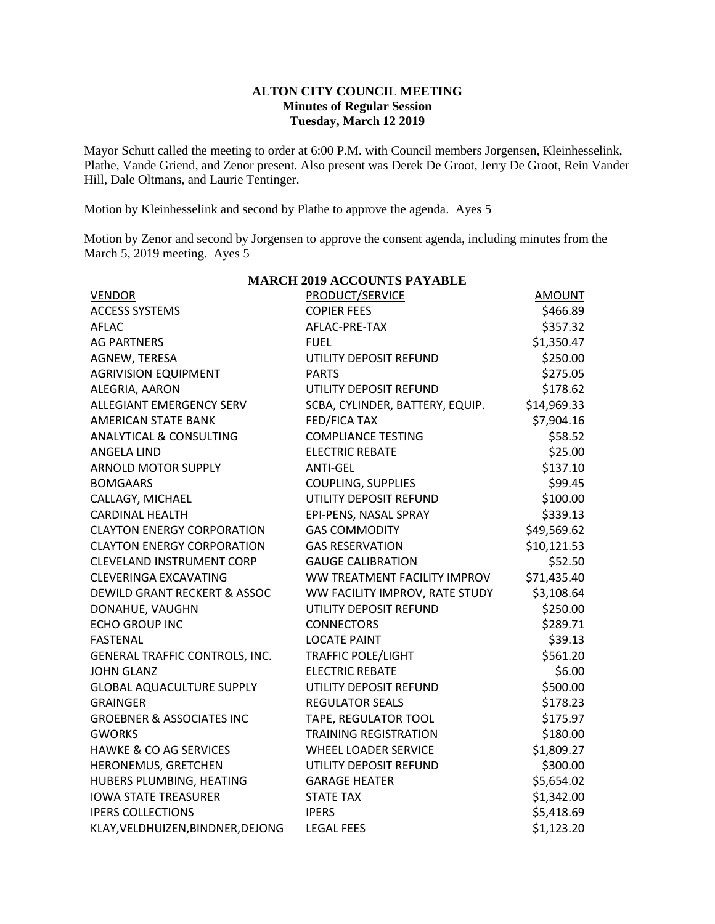## **ALTON CITY COUNCIL MEETING Minutes of Regular Session Tuesday, March 12 2019**

Mayor Schutt called the meeting to order at 6:00 P.M. with Council members Jorgensen, Kleinhesselink, Plathe, Vande Griend, and Zenor present. Also present was Derek De Groot, Jerry De Groot, Rein Vander Hill, Dale Oltmans, and Laurie Tentinger.

Motion by Kleinhesselink and second by Plathe to approve the agenda. Ayes 5

Motion by Zenor and second by Jorgensen to approve the consent agenda, including minutes from the March 5, 2019 meeting. Ayes 5

| <b>MARCH 2019 ACCOUNTS PAYABLE</b>   |                                 |               |  |  |  |
|--------------------------------------|---------------------------------|---------------|--|--|--|
| <b>VENDOR</b>                        | PRODUCT/SERVICE                 | <b>AMOUNT</b> |  |  |  |
| <b>ACCESS SYSTEMS</b>                | <b>COPIER FEES</b>              | \$466.89      |  |  |  |
| AFLAC                                | AFLAC-PRE-TAX                   | \$357.32      |  |  |  |
| <b>AG PARTNERS</b>                   | <b>FUEL</b>                     | \$1,350.47    |  |  |  |
| AGNEW, TERESA                        | UTILITY DEPOSIT REFUND          | \$250.00      |  |  |  |
| <b>AGRIVISION EQUIPMENT</b>          | <b>PARTS</b>                    | \$275.05      |  |  |  |
| ALEGRIA, AARON                       | UTILITY DEPOSIT REFUND          | \$178.62      |  |  |  |
| ALLEGIANT EMERGENCY SERV             | SCBA, CYLINDER, BATTERY, EQUIP. | \$14,969.33   |  |  |  |
| AMERICAN STATE BANK                  | FED/FICA TAX                    | \$7,904.16    |  |  |  |
| <b>ANALYTICAL &amp; CONSULTING</b>   | <b>COMPLIANCE TESTING</b>       | \$58.52       |  |  |  |
| ANGELA LIND                          | <b>ELECTRIC REBATE</b>          | \$25.00       |  |  |  |
| <b>ARNOLD MOTOR SUPPLY</b>           | <b>ANTI-GEL</b>                 | \$137.10      |  |  |  |
| <b>BOMGAARS</b>                      | <b>COUPLING, SUPPLIES</b>       | \$99.45       |  |  |  |
| CALLAGY, MICHAEL                     | UTILITY DEPOSIT REFUND          | \$100.00      |  |  |  |
| <b>CARDINAL HEALTH</b>               | EPI-PENS, NASAL SPRAY           | \$339.13      |  |  |  |
| <b>CLAYTON ENERGY CORPORATION</b>    | <b>GAS COMMODITY</b>            | \$49,569.62   |  |  |  |
| <b>CLAYTON ENERGY CORPORATION</b>    | <b>GAS RESERVATION</b>          | \$10,121.53   |  |  |  |
| <b>CLEVELAND INSTRUMENT CORP</b>     | <b>GAUGE CALIBRATION</b>        | \$52.50       |  |  |  |
| <b>CLEVERINGA EXCAVATING</b>         | WW TREATMENT FACILITY IMPROV    | \$71,435.40   |  |  |  |
| DEWILD GRANT RECKERT & ASSOC         | WW FACILITY IMPROV, RATE STUDY  | \$3,108.64    |  |  |  |
| DONAHUE, VAUGHN                      | UTILITY DEPOSIT REFUND          | \$250.00      |  |  |  |
| <b>ECHO GROUP INC</b>                | <b>CONNECTORS</b>               | \$289.71      |  |  |  |
| FASTENAL                             | <b>LOCATE PAINT</b>             | \$39.13       |  |  |  |
| GENERAL TRAFFIC CONTROLS, INC.       | TRAFFIC POLE/LIGHT              | \$561.20      |  |  |  |
| <b>JOHN GLANZ</b>                    | <b>ELECTRIC REBATE</b>          | \$6.00        |  |  |  |
| <b>GLOBAL AQUACULTURE SUPPLY</b>     | UTILITY DEPOSIT REFUND          | \$500.00      |  |  |  |
| <b>GRAINGER</b>                      | <b>REGULATOR SEALS</b>          | \$178.23      |  |  |  |
| <b>GROEBNER &amp; ASSOCIATES INC</b> | TAPE, REGULATOR TOOL            | \$175.97      |  |  |  |
| <b>GWORKS</b>                        | <b>TRAINING REGISTRATION</b>    | \$180.00      |  |  |  |
| <b>HAWKE &amp; CO AG SERVICES</b>    | WHEEL LOADER SERVICE            | \$1,809.27    |  |  |  |
| HERONEMUS, GRETCHEN                  | UTILITY DEPOSIT REFUND          | \$300.00      |  |  |  |
| HUBERS PLUMBING, HEATING             | <b>GARAGE HEATER</b>            | \$5,654.02    |  |  |  |
| <b>IOWA STATE TREASURER</b>          | <b>STATE TAX</b>                | \$1,342.00    |  |  |  |
| <b>IPERS COLLECTIONS</b>             | <b>IPERS</b>                    | \$5,418.69    |  |  |  |
| KLAY, VELDHUIZEN, BINDNER, DEJONG    | <b>LEGAL FEES</b>               | \$1,123.20    |  |  |  |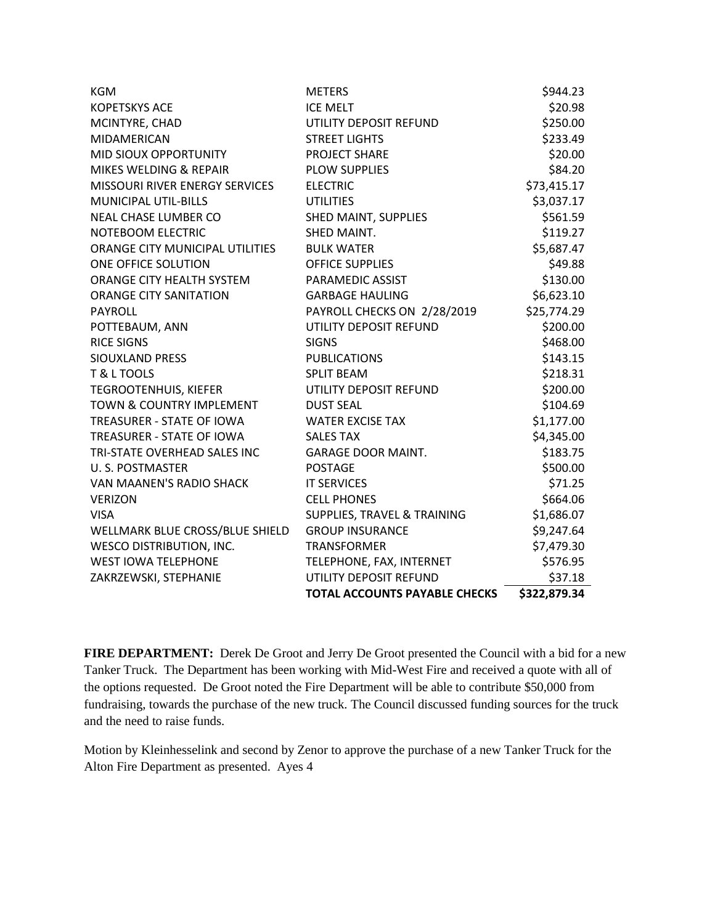| <b>KGM</b>                      | <b>METERS</b>                        | \$944.23     |
|---------------------------------|--------------------------------------|--------------|
| <b>KOPETSKYS ACE</b>            | <b>ICE MELT</b>                      | \$20.98      |
| MCINTYRE, CHAD                  | UTILITY DEPOSIT REFUND               | \$250.00     |
| MIDAMERICAN                     | <b>STREET LIGHTS</b>                 | \$233.49     |
| MID SIOUX OPPORTUNITY           | PROJECT SHARE                        | \$20.00      |
| MIKES WELDING & REPAIR          | <b>PLOW SUPPLIES</b>                 | \$84.20      |
| MISSOURI RIVER ENERGY SERVICES  | <b>ELECTRIC</b>                      | \$73,415.17  |
| <b>MUNICIPAL UTIL-BILLS</b>     | <b>UTILITIES</b>                     | \$3,037.17   |
| NEAL CHASE LUMBER CO            | SHED MAINT, SUPPLIES                 | \$561.59     |
| NOTEBOOM ELECTRIC               | SHED MAINT.                          | \$119.27     |
| ORANGE CITY MUNICIPAL UTILITIES | <b>BULK WATER</b>                    | \$5,687.47   |
| ONE OFFICE SOLUTION             | <b>OFFICE SUPPLIES</b>               | \$49.88      |
| ORANGE CITY HEALTH SYSTEM       | PARAMEDIC ASSIST                     | \$130.00     |
| <b>ORANGE CITY SANITATION</b>   | <b>GARBAGE HAULING</b>               | \$6,623.10   |
| <b>PAYROLL</b>                  | PAYROLL CHECKS ON 2/28/2019          | \$25,774.29  |
| POTTEBAUM, ANN                  | UTILITY DEPOSIT REFUND               | \$200.00     |
| <b>RICE SIGNS</b>               | <b>SIGNS</b>                         | \$468.00     |
| SIOUXLAND PRESS                 | <b>PUBLICATIONS</b>                  | \$143.15     |
| T & L TOOLS                     | <b>SPLIT BEAM</b>                    | \$218.31     |
| <b>TEGROOTENHUIS, KIEFER</b>    | UTILITY DEPOSIT REFUND               | \$200.00     |
| TOWN & COUNTRY IMPLEMENT        | <b>DUST SEAL</b>                     | \$104.69     |
| TREASURER - STATE OF IOWA       | <b>WATER EXCISE TAX</b>              | \$1,177.00   |
| TREASURER - STATE OF IOWA       | <b>SALES TAX</b>                     | \$4,345.00   |
| TRI-STATE OVERHEAD SALES INC    | <b>GARAGE DOOR MAINT.</b>            | \$183.75     |
| U.S. POSTMASTER                 | <b>POSTAGE</b>                       | \$500.00     |
| VAN MAANEN'S RADIO SHACK        | <b>IT SERVICES</b>                   | \$71.25      |
| <b>VERIZON</b>                  | <b>CELL PHONES</b>                   | \$664.06     |
| <b>VISA</b>                     | SUPPLIES, TRAVEL & TRAINING          | \$1,686.07   |
| WELLMARK BLUE CROSS/BLUE SHIELD | <b>GROUP INSURANCE</b>               | \$9,247.64   |
| <b>WESCO DISTRIBUTION, INC.</b> | <b>TRANSFORMER</b>                   | \$7,479.30   |
| <b>WEST IOWA TELEPHONE</b>      | TELEPHONE, FAX, INTERNET             | \$576.95     |
| ZAKRZEWSKI, STEPHANIE           | UTILITY DEPOSIT REFUND               | \$37.18      |
|                                 | <b>TOTAL ACCOUNTS PAYABLE CHECKS</b> | \$322,879.34 |

**FIRE DEPARTMENT:** Derek De Groot and Jerry De Groot presented the Council with a bid for a new Tanker Truck. The Department has been working with Mid-West Fire and received a quote with all of the options requested. De Groot noted the Fire Department will be able to contribute \$50,000 from fundraising, towards the purchase of the new truck. The Council discussed funding sources for the truck and the need to raise funds.

Motion by Kleinhesselink and second by Zenor to approve the purchase of a new Tanker Truck for the Alton Fire Department as presented. Ayes 4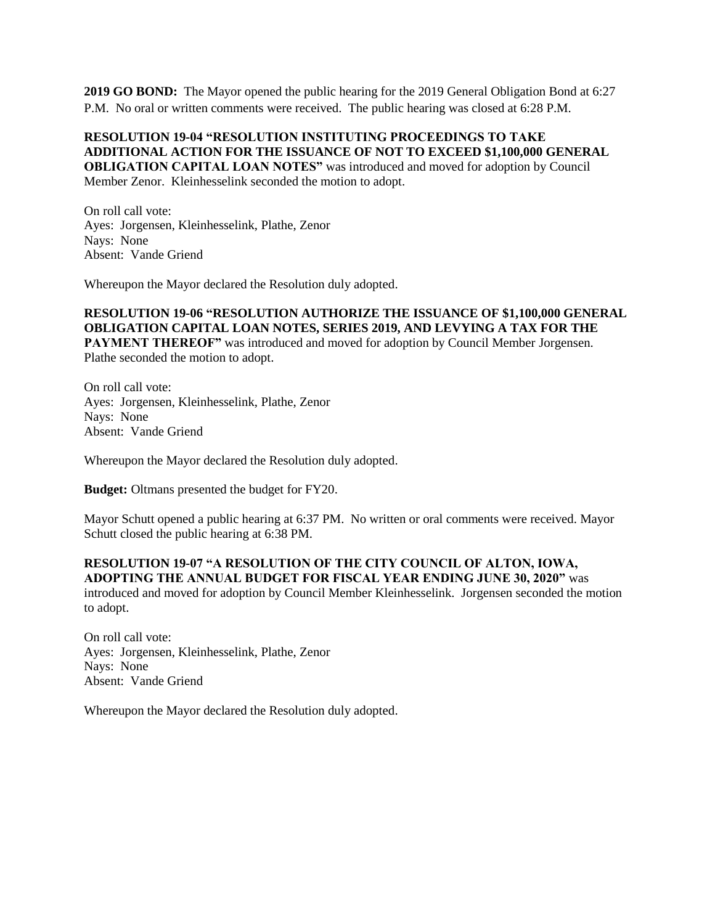**2019 GO BOND:** The Mayor opened the public hearing for the 2019 General Obligation Bond at 6:27 P.M. No oral or written comments were received. The public hearing was closed at 6:28 P.M.

**RESOLUTION 19-04 "RESOLUTION INSTITUTING PROCEEDINGS TO TAKE ADDITIONAL ACTION FOR THE ISSUANCE OF NOT TO EXCEED \$1,100,000 GENERAL OBLIGATION CAPITAL LOAN NOTES"** was introduced and moved for adoption by Council Member Zenor. Kleinhesselink seconded the motion to adopt.

On roll call vote: Ayes: Jorgensen, Kleinhesselink, Plathe, Zenor Nays: None Absent: Vande Griend

Whereupon the Mayor declared the Resolution duly adopted.

# **RESOLUTION 19-06 "RESOLUTION AUTHORIZE THE ISSUANCE OF \$1,100,000 GENERAL OBLIGATION CAPITAL LOAN NOTES, SERIES 2019, AND LEVYING A TAX FOR THE**

**PAYMENT THEREOF"** was introduced and moved for adoption by Council Member Jorgensen. Plathe seconded the motion to adopt.

On roll call vote: Ayes: Jorgensen, Kleinhesselink, Plathe, Zenor Nays: None Absent: Vande Griend

Whereupon the Mayor declared the Resolution duly adopted.

**Budget:** Oltmans presented the budget for FY20.

Mayor Schutt opened a public hearing at 6:37 PM. No written or oral comments were received. Mayor Schutt closed the public hearing at 6:38 PM.

### **RESOLUTION 19-07 "A RESOLUTION OF THE CITY COUNCIL OF ALTON, IOWA, ADOPTING THE ANNUAL BUDGET FOR FISCAL YEAR ENDING JUNE 30, 2020"** was

introduced and moved for adoption by Council Member Kleinhesselink. Jorgensen seconded the motion to adopt.

On roll call vote: Ayes: Jorgensen, Kleinhesselink, Plathe, Zenor Nays: None Absent: Vande Griend

Whereupon the Mayor declared the Resolution duly adopted.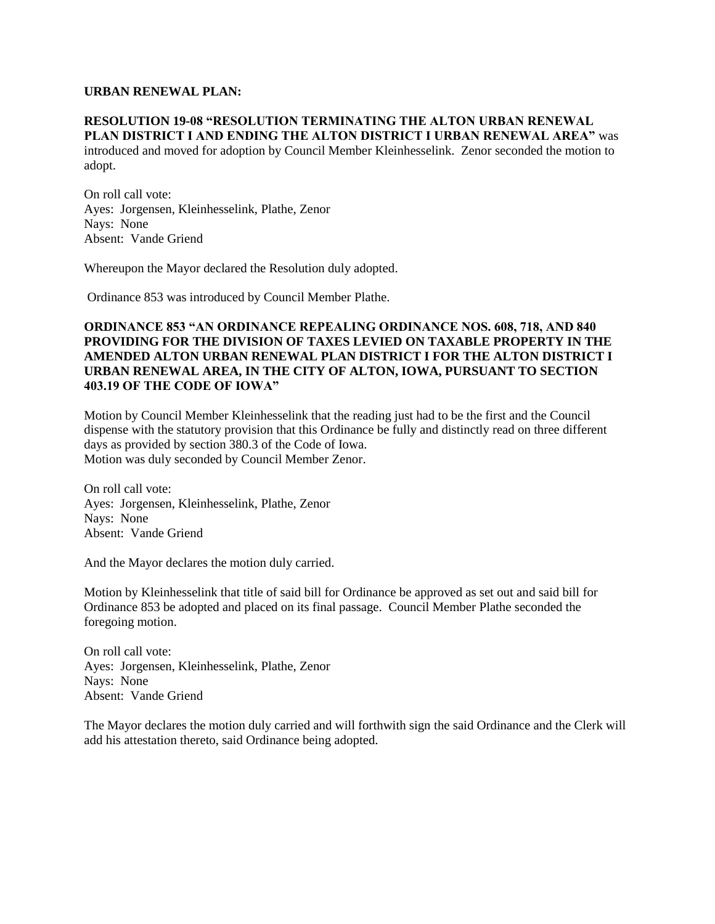### **URBAN RENEWAL PLAN:**

# **RESOLUTION 19-08 "RESOLUTION TERMINATING THE ALTON URBAN RENEWAL PLAN DISTRICT I AND ENDING THE ALTON DISTRICT I URBAN RENEWAL AREA"** was

introduced and moved for adoption by Council Member Kleinhesselink. Zenor seconded the motion to adopt.

On roll call vote: Ayes: Jorgensen, Kleinhesselink, Plathe, Zenor Nays: None Absent: Vande Griend

Whereupon the Mayor declared the Resolution duly adopted.

Ordinance 853 was introduced by Council Member Plathe.

### **ORDINANCE 853 "AN ORDINANCE REPEALING ORDINANCE NOS. 608, 718, AND 840 PROVIDING FOR THE DIVISION OF TAXES LEVIED ON TAXABLE PROPERTY IN THE AMENDED ALTON URBAN RENEWAL PLAN DISTRICT I FOR THE ALTON DISTRICT I URBAN RENEWAL AREA, IN THE CITY OF ALTON, IOWA, PURSUANT TO SECTION 403.19 OF THE CODE OF IOWA"**

Motion by Council Member Kleinhesselink that the reading just had to be the first and the Council dispense with the statutory provision that this Ordinance be fully and distinctly read on three different days as provided by section 380.3 of the Code of Iowa. Motion was duly seconded by Council Member Zenor.

On roll call vote: Ayes: Jorgensen, Kleinhesselink, Plathe, Zenor Nays: None Absent: Vande Griend

And the Mayor declares the motion duly carried.

Motion by Kleinhesselink that title of said bill for Ordinance be approved as set out and said bill for Ordinance 853 be adopted and placed on its final passage. Council Member Plathe seconded the foregoing motion.

On roll call vote: Ayes: Jorgensen, Kleinhesselink, Plathe, Zenor Nays: None Absent: Vande Griend

The Mayor declares the motion duly carried and will forthwith sign the said Ordinance and the Clerk will add his attestation thereto, said Ordinance being adopted.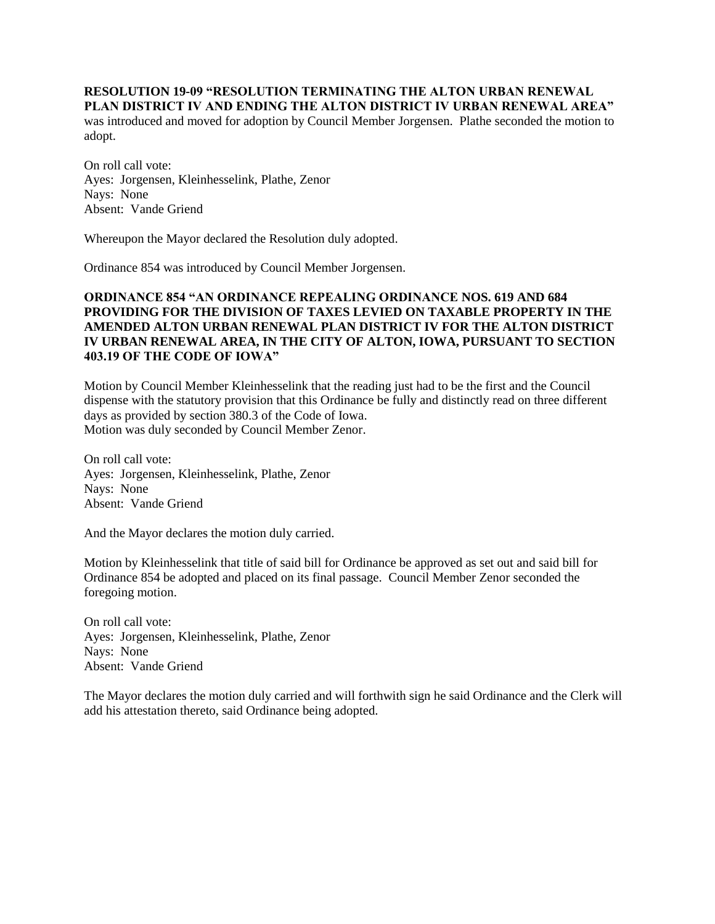#### **RESOLUTION 19-09 "RESOLUTION TERMINATING THE ALTON URBAN RENEWAL PLAN DISTRICT IV AND ENDING THE ALTON DISTRICT IV URBAN RENEWAL AREA"**

was introduced and moved for adoption by Council Member Jorgensen. Plathe seconded the motion to adopt.

On roll call vote: Ayes: Jorgensen, Kleinhesselink, Plathe, Zenor Nays: None Absent: Vande Griend

Whereupon the Mayor declared the Resolution duly adopted.

Ordinance 854 was introduced by Council Member Jorgensen.

### **ORDINANCE 854 "AN ORDINANCE REPEALING ORDINANCE NOS. 619 AND 684 PROVIDING FOR THE DIVISION OF TAXES LEVIED ON TAXABLE PROPERTY IN THE AMENDED ALTON URBAN RENEWAL PLAN DISTRICT IV FOR THE ALTON DISTRICT IV URBAN RENEWAL AREA, IN THE CITY OF ALTON, IOWA, PURSUANT TO SECTION 403.19 OF THE CODE OF IOWA"**

Motion by Council Member Kleinhesselink that the reading just had to be the first and the Council dispense with the statutory provision that this Ordinance be fully and distinctly read on three different days as provided by section 380.3 of the Code of Iowa. Motion was duly seconded by Council Member Zenor.

On roll call vote: Ayes: Jorgensen, Kleinhesselink, Plathe, Zenor Nays: None Absent: Vande Griend

And the Mayor declares the motion duly carried.

Motion by Kleinhesselink that title of said bill for Ordinance be approved as set out and said bill for Ordinance 854 be adopted and placed on its final passage. Council Member Zenor seconded the foregoing motion.

On roll call vote: Ayes: Jorgensen, Kleinhesselink, Plathe, Zenor Nays: None Absent: Vande Griend

The Mayor declares the motion duly carried and will forthwith sign he said Ordinance and the Clerk will add his attestation thereto, said Ordinance being adopted.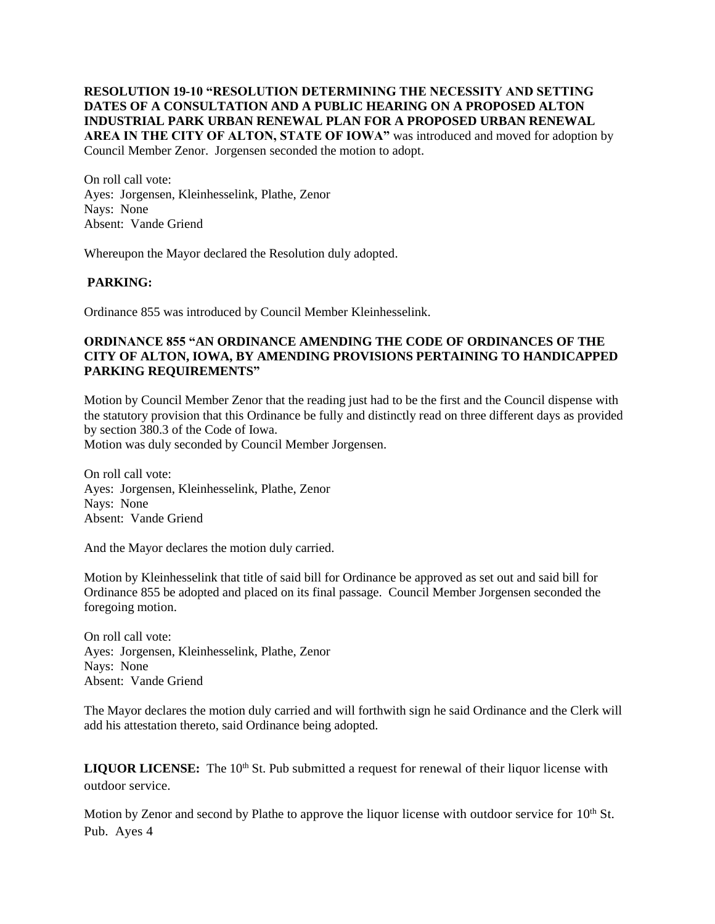### **RESOLUTION 19-10 "RESOLUTION DETERMINING THE NECESSITY AND SETTING DATES OF A CONSULTATION AND A PUBLIC HEARING ON A PROPOSED ALTON INDUSTRIAL PARK URBAN RENEWAL PLAN FOR A PROPOSED URBAN RENEWAL AREA IN THE CITY OF ALTON, STATE OF IOWA"** was introduced and moved for adoption by Council Member Zenor. Jorgensen seconded the motion to adopt.

On roll call vote: Ayes: Jorgensen, Kleinhesselink, Plathe, Zenor Nays: None Absent: Vande Griend

Whereupon the Mayor declared the Resolution duly adopted.

## **PARKING:**

Ordinance 855 was introduced by Council Member Kleinhesselink.

## **ORDINANCE 855 "AN ORDINANCE AMENDING THE CODE OF ORDINANCES OF THE CITY OF ALTON, IOWA, BY AMENDING PROVISIONS PERTAINING TO HANDICAPPED PARKING REQUIREMENTS"**

Motion by Council Member Zenor that the reading just had to be the first and the Council dispense with the statutory provision that this Ordinance be fully and distinctly read on three different days as provided by section 380.3 of the Code of Iowa.

Motion was duly seconded by Council Member Jorgensen.

On roll call vote: Ayes: Jorgensen, Kleinhesselink, Plathe, Zenor Nays: None Absent: Vande Griend

And the Mayor declares the motion duly carried.

Motion by Kleinhesselink that title of said bill for Ordinance be approved as set out and said bill for Ordinance 855 be adopted and placed on its final passage. Council Member Jorgensen seconded the foregoing motion.

On roll call vote: Ayes: Jorgensen, Kleinhesselink, Plathe, Zenor Nays: None Absent: Vande Griend

The Mayor declares the motion duly carried and will forthwith sign he said Ordinance and the Clerk will add his attestation thereto, said Ordinance being adopted.

**LIQUOR LICENSE:** The 10<sup>th</sup> St. Pub submitted a request for renewal of their liquor license with outdoor service.

Motion by Zenor and second by Plathe to approve the liquor license with outdoor service for  $10<sup>th</sup>$  St. Pub. Ayes 4